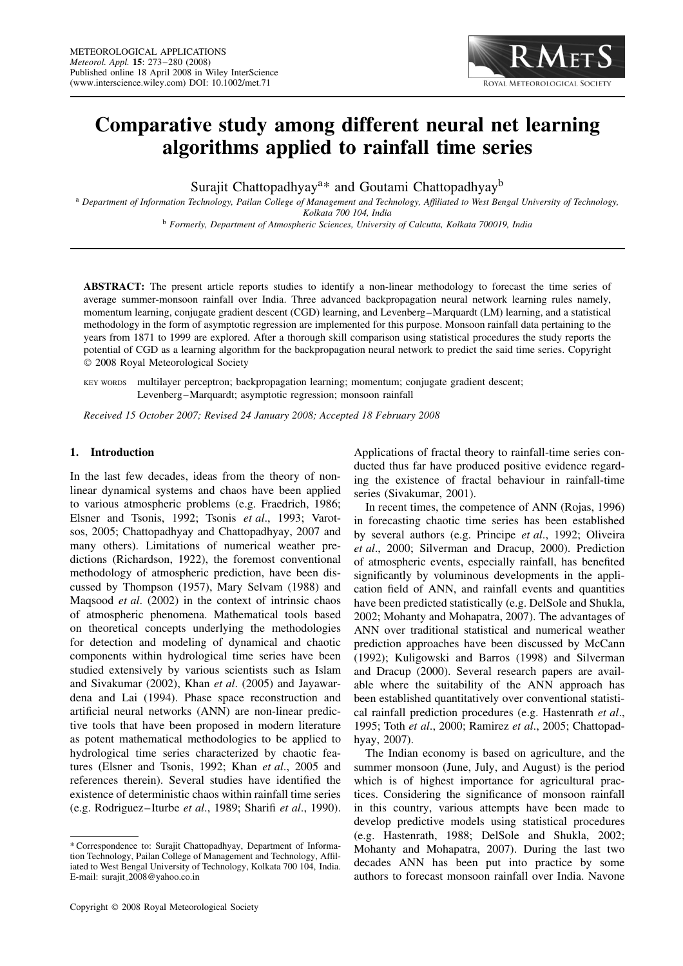

# **Comparative study among different neural net learning algorithms applied to rainfall time series**

Surajit Chattopadhyay<sup>a\*</sup> and Goutami Chattopadhyay<sup>b</sup>

<sup>a</sup> *Department of Information Technology, Pailan College of Management and Technology, Affiliated to West Bengal University of Technology, Kolkata 700 104, India*

<sup>b</sup> *Formerly, Department of Atmospheric Sciences, University of Calcutta, Kolkata 700019, India*

**ABSTRACT:** The present article reports studies to identify a non-linear methodology to forecast the time series of average summer-monsoon rainfall over India. Three advanced backpropagation neural network learning rules namely, momentum learning, conjugate gradient descent (CGD) learning, and Levenberg–Marquardt (LM) learning, and a statistical methodology in the form of asymptotic regression are implemented for this purpose. Monsoon rainfall data pertaining to the years from 1871 to 1999 are explored. After a thorough skill comparison using statistical procedures the study reports the potential of CGD as a learning algorithm for the backpropagation neural network to predict the said time series. Copyright 2008 Royal Meteorological Society

KEY WORDS multilayer perceptron; backpropagation learning; momentum; conjugate gradient descent; Levenberg–Marquardt; asymptotic regression; monsoon rainfall

*Received 15 October 2007; Revised 24 January 2008; Accepted 18 February 2008*

## **1. Introduction**

In the last few decades, ideas from the theory of nonlinear dynamical systems and chaos have been applied to various atmospheric problems (e.g. Fraedrich, 1986; Elsner and Tsonis, 1992; Tsonis *et al*., 1993; Varotsos, 2005; Chattopadhyay and Chattopadhyay, 2007 and many others). Limitations of numerical weather predictions (Richardson, 1922), the foremost conventional methodology of atmospheric prediction, have been discussed by Thompson (1957), Mary Selvam (1988) and Maqsood *et al*. (2002) in the context of intrinsic chaos of atmospheric phenomena. Mathematical tools based on theoretical concepts underlying the methodologies for detection and modeling of dynamical and chaotic components within hydrological time series have been studied extensively by various scientists such as Islam and Sivakumar (2002), Khan *et al*. (2005) and Jayawardena and Lai (1994). Phase space reconstruction and artificial neural networks (ANN) are non-linear predictive tools that have been proposed in modern literature as potent mathematical methodologies to be applied to hydrological time series characterized by chaotic features (Elsner and Tsonis, 1992; Khan *et al*., 2005 and references therein). Several studies have identified the existence of deterministic chaos within rainfall time series (e.g. Rodriguez– Iturbe *et al*., 1989; Sharifi *et al*., 1990).

Applications of fractal theory to rainfall-time series conducted thus far have produced positive evidence regarding the existence of fractal behaviour in rainfall-time series (Sivakumar, 2001).

In recent times, the competence of ANN (Rojas, 1996) in forecasting chaotic time series has been established by several authors (e.g. Principe *et al*., 1992; Oliveira *et al*., 2000; Silverman and Dracup, 2000). Prediction of atmospheric events, especially rainfall, has benefited significantly by voluminous developments in the application field of ANN, and rainfall events and quantities have been predicted statistically (e.g. DelSole and Shukla, 2002; Mohanty and Mohapatra, 2007). The advantages of ANN over traditional statistical and numerical weather prediction approaches have been discussed by McCann (1992); Kuligowski and Barros (1998) and Silverman and Dracup (2000). Several research papers are available where the suitability of the ANN approach has been established quantitatively over conventional statistical rainfall prediction procedures (e.g. Hastenrath *et al*., 1995; Toth *et al*., 2000; Ramirez *et al*., 2005; Chattopadhyay, 2007).

The Indian economy is based on agriculture, and the summer monsoon (June, July, and August) is the period which is of highest importance for agricultural practices. Considering the significance of monsoon rainfall in this country, various attempts have been made to develop predictive models using statistical procedures (e.g. Hastenrath, 1988; DelSole and Shukla, 2002; Mohanty and Mohapatra, 2007). During the last two decades ANN has been put into practice by some authors to forecast monsoon rainfall over India. Navone

<sup>\*</sup> Correspondence to: Surajit Chattopadhyay, Department of Information Technology, Pailan College of Management and Technology, Affiliated to West Bengal University of Technology, Kolkata 700 104, India. E-mail: surajit 2008@yahoo.co.in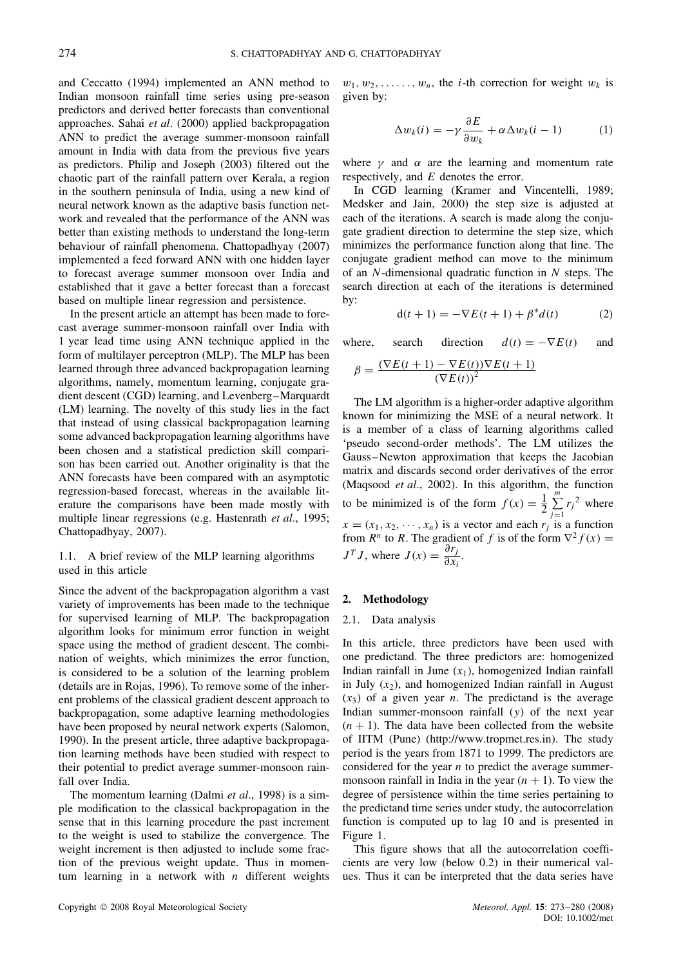and Ceccatto (1994) implemented an ANN method to Indian monsoon rainfall time series using pre-season predictors and derived better forecasts than conventional approaches. Sahai *et al*. (2000) applied backpropagation ANN to predict the average summer-monsoon rainfall amount in India with data from the previous five years as predictors. Philip and Joseph (2003) filtered out the chaotic part of the rainfall pattern over Kerala, a region in the southern peninsula of India, using a new kind of neural network known as the adaptive basis function network and revealed that the performance of the ANN was better than existing methods to understand the long-term behaviour of rainfall phenomena. Chattopadhyay (2007) implemented a feed forward ANN with one hidden layer to forecast average summer monsoon over India and established that it gave a better forecast than a forecast based on multiple linear regression and persistence.

In the present article an attempt has been made to forecast average summer-monsoon rainfall over India with 1 year lead time using ANN technique applied in the form of multilayer perceptron (MLP). The MLP has been learned through three advanced backpropagation learning algorithms, namely, momentum learning, conjugate gradient descent (CGD) learning, and Levenberg–Marquardt (LM) learning. The novelty of this study lies in the fact that instead of using classical backpropagation learning some advanced backpropagation learning algorithms have been chosen and a statistical prediction skill comparison has been carried out. Another originality is that the ANN forecasts have been compared with an asymptotic regression-based forecast, whereas in the available literature the comparisons have been made mostly with multiple linear regressions (e.g. Hastenrath *et al*., 1995; Chattopadhyay, 2007).

# 1.1. A brief review of the MLP learning algorithms used in this article

Since the advent of the backpropagation algorithm a vast variety of improvements has been made to the technique for supervised learning of MLP. The backpropagation algorithm looks for minimum error function in weight space using the method of gradient descent. The combination of weights, which minimizes the error function, is considered to be a solution of the learning problem (details are in Rojas, 1996). To remove some of the inherent problems of the classical gradient descent approach to backpropagation, some adaptive learning methodologies have been proposed by neural network experts (Salomon, 1990). In the present article, three adaptive backpropagation learning methods have been studied with respect to their potential to predict average summer-monsoon rainfall over India.

The momentum learning (Dalmi *et al*., 1998) is a simple modification to the classical backpropagation in the sense that in this learning procedure the past increment to the weight is used to stabilize the convergence. The weight increment is then adjusted to include some fraction of the previous weight update. Thus in momentum learning in a network with  $n$  different weights  $w_1, w_2, \ldots, w_n$ , the *i*-th correction for weight  $w_k$  is given by:

$$
\Delta w_k(i) = -\gamma \frac{\partial E}{\partial w_k} + \alpha \Delta w_k(i-1) \tag{1}
$$

where  $\gamma$  and  $\alpha$  are the learning and momentum rate respectively, and E denotes the error.

In CGD learning (Kramer and Vincentelli, 1989; Medsker and Jain, 2000) the step size is adjusted at each of the iterations. A search is made along the conjugate gradient direction to determine the step size, which minimizes the performance function along that line. The conjugate gradient method can move to the minimum of an  $N$ -dimensional quadratic function in  $N$  steps. The search direction at each of the iterations is determined by:

$$
d(t + 1) = -\nabla E(t + 1) + \beta^* d(t)
$$
 (2)

where, search direction  $d(t) = -\nabla E(t)$  and

$$
\beta = \frac{\left(\nabla E(t+1) - \nabla E(t)\right)\nabla E(t+1)}{\left(\nabla E(t)\right)^2}
$$

The LM algorithm is a higher-order adaptive algorithm known for minimizing the MSE of a neural network. It is a member of a class of learning algorithms called 'pseudo second-order methods'. The LM utilizes the Gauss–Newton approximation that keeps the Jacobian matrix and discards second order derivatives of the error (Maqsood *et al*., 2002). In this algorithm, the function to be minimized is of the form  $f(x) = \frac{1}{2}$  $\frac{1}{2}$  $\sum_{i=1}^{m}$  $\sum_{j=1}^{\infty} r_j^2$  where  $x = (x_1, x_2, \dots, x_n)$  is a vector and each  $r_j$  is a function from  $R^n$  to R. The gradient of f is of the form  $\nabla^2 f(x) =$  $J^T J$ , where  $J(x) = \frac{\partial r_j}{\partial x_j}$  $\frac{\partial f}{\partial x_i}$ .

## **2. Methodology**

#### 2.1. Data analysis

In this article, three predictors have been used with one predictand. The three predictors are: homogenized Indian rainfall in June  $(x_1)$ , homogenized Indian rainfall in July  $(x_2)$ , and homogenized Indian rainfall in August  $(x_3)$  of a given year *n*. The predictand is the average Indian summer-monsoon rainfall  $(y)$  of the next year  $(n + 1)$ . The data have been collected from the website of IITM (Pune) (http://www.tropmet.res.in). The study period is the years from 1871 to 1999. The predictors are considered for the year  $n$  to predict the average summermonsoon rainfall in India in the year  $(n + 1)$ . To view the degree of persistence within the time series pertaining to the predictand time series under study, the autocorrelation function is computed up to lag 10 and is presented in Figure 1.

This figure shows that all the autocorrelation coefficients are very low (below 0.2) in their numerical values. Thus it can be interpreted that the data series have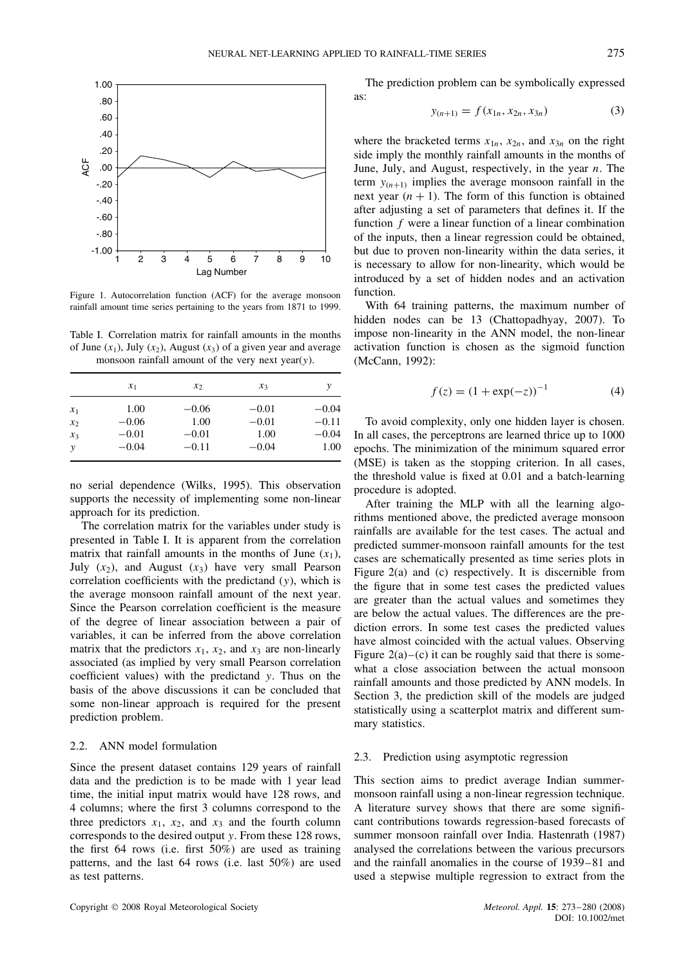as:

function.



Figure 1. Autocorrelation function (ACF) for the average monsoon rainfall amount time series pertaining to the years from 1871 to 1999.

Table I. Correlation matrix for rainfall amounts in the months of June  $(x_1)$ , July  $(x_2)$ , August  $(x_3)$  of a given year and average monsoon rainfall amount of the very next year(y).

|               | $x_1$   | x <sub>2</sub> | $x_3$   | ν       |
|---------------|---------|----------------|---------|---------|
| $x_1$         | 1.00    | $-0.06$        | $-0.01$ | $-0.04$ |
| $x_2$         | $-0.06$ | 1.00           | $-0.01$ | $-0.11$ |
| $x_3$         | $-0.01$ | $-0.01$        | 1.00    | $-0.04$ |
| $\mathcal{Y}$ | $-0.04$ | $-0.11$        | $-0.04$ | 1.00    |
|               |         |                |         |         |

no serial dependence (Wilks, 1995). This observation supports the necessity of implementing some non-linear approach for its prediction.

The correlation matrix for the variables under study is presented in Table I. It is apparent from the correlation matrix that rainfall amounts in the months of June  $(x_1)$ , July  $(x_2)$ , and August  $(x_3)$  have very small Pearson correlation coefficients with the predictand  $(y)$ , which is the average monsoon rainfall amount of the next year. Since the Pearson correlation coefficient is the measure of the degree of linear association between a pair of variables, it can be inferred from the above correlation matrix that the predictors  $x_1$ ,  $x_2$ , and  $x_3$  are non-linearly associated (as implied by very small Pearson correlation coefficient values) with the predictand y. Thus on the basis of the above discussions it can be concluded that some non-linear approach is required for the present prediction problem.

## 2.2. ANN model formulation

Since the present dataset contains 129 years of rainfall data and the prediction is to be made with 1 year lead time, the initial input matrix would have 128 rows, and 4 columns; where the first 3 columns correspond to the three predictors  $x_1$ ,  $x_2$ , and  $x_3$  and the fourth column corresponds to the desired output y. From these 128 rows, the first 64 rows (i.e. first 50%) are used as training patterns, and the last 64 rows (i.e. last 50%) are used as test patterns.

# With 64 training patterns, the maximum number of

hidden nodes can be 13 (Chattopadhyay, 2007). To impose non-linearity in the ANN model, the non-linear activation function is chosen as the sigmoid function (McCann, 1992):

The prediction problem can be symbolically expressed

where the bracketed terms  $x_{1n}$ ,  $x_{2n}$ , and  $x_{3n}$  on the right side imply the monthly rainfall amounts in the months of June, July, and August, respectively, in the year  $n$ . The term  $y_{(n+1)}$  implies the average monsoon rainfall in the next year  $(n + 1)$ . The form of this function is obtained after adjusting a set of parameters that defines it. If the function  $f$  were a linear function of a linear combination of the inputs, then a linear regression could be obtained, but due to proven non-linearity within the data series, it is necessary to allow for non-linearity, which would be introduced by a set of hidden nodes and an activation

 $y_{(n+1)} = f(x_{1n}, x_{2n}, x_{3n})$  (3)

$$
f(z) = (1 + \exp(-z))^{-1}
$$
 (4)

To avoid complexity, only one hidden layer is chosen. In all cases, the perceptrons are learned thrice up to 1000 epochs. The minimization of the minimum squared error (MSE) is taken as the stopping criterion. In all cases, the threshold value is fixed at 0.01 and a batch-learning procedure is adopted.

After training the MLP with all the learning algorithms mentioned above, the predicted average monsoon rainfalls are available for the test cases. The actual and predicted summer-monsoon rainfall amounts for the test cases are schematically presented as time series plots in Figure 2(a) and (c) respectively. It is discernible from the figure that in some test cases the predicted values are greater than the actual values and sometimes they are below the actual values. The differences are the prediction errors. In some test cases the predicted values have almost coincided with the actual values. Observing Figure  $2(a)$ –(c) it can be roughly said that there is somewhat a close association between the actual monsoon rainfall amounts and those predicted by ANN models. In Section 3, the prediction skill of the models are judged statistically using a scatterplot matrix and different summary statistics.

## 2.3. Prediction using asymptotic regression

This section aims to predict average Indian summermonsoon rainfall using a non-linear regression technique. A literature survey shows that there are some significant contributions towards regression-based forecasts of summer monsoon rainfall over India. Hastenrath (1987) analysed the correlations between the various precursors and the rainfall anomalies in the course of 1939–81 and used a stepwise multiple regression to extract from the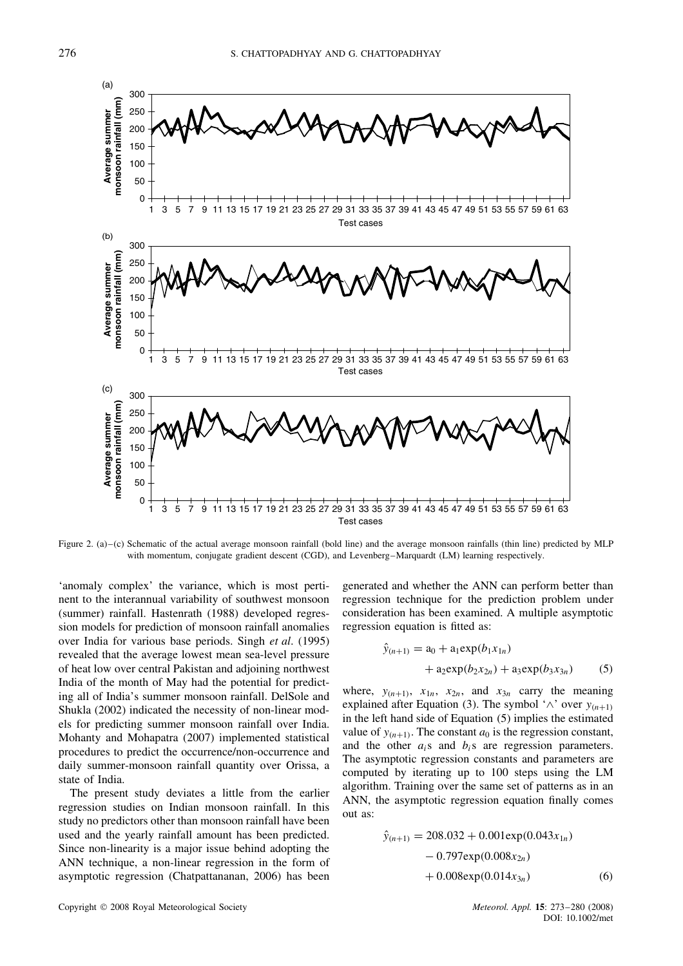

Figure 2. (a)–(c) Schematic of the actual average monsoon rainfall (bold line) and the average monsoon rainfalls (thin line) predicted by MLP with momentum, conjugate gradient descent (CGD), and Levenberg–Marquardt (LM) learning respectively.

'anomaly complex' the variance, which is most pertinent to the interannual variability of southwest monsoon (summer) rainfall. Hastenrath (1988) developed regression models for prediction of monsoon rainfall anomalies over India for various base periods. Singh *et al*. (1995) revealed that the average lowest mean sea-level pressure of heat low over central Pakistan and adjoining northwest India of the month of May had the potential for predicting all of India's summer monsoon rainfall. DelSole and Shukla (2002) indicated the necessity of non-linear models for predicting summer monsoon rainfall over India. Mohanty and Mohapatra (2007) implemented statistical procedures to predict the occurrence/non-occurrence and daily summer-monsoon rainfall quantity over Orissa, a state of India.

The present study deviates a little from the earlier regression studies on Indian monsoon rainfall. In this study no predictors other than monsoon rainfall have been used and the yearly rainfall amount has been predicted. Since non-linearity is a major issue behind adopting the ANN technique, a non-linear regression in the form of asymptotic regression (Chatpattananan, 2006) has been

generated and whether the ANN can perform better than regression technique for the prediction problem under consideration has been examined. A multiple asymptotic regression equation is fitted as:

$$
\hat{y}_{(n+1)} = a_0 + a_1 \exp(b_1 x_{1n}) \n+ a_2 \exp(b_2 x_{2n}) + a_3 \exp(b_3 x_{3n})
$$
\n(5)

where,  $y_{(n+1)}$ ,  $x_{1n}$ ,  $x_{2n}$ , and  $x_{3n}$  carry the meaning explained after Equation (3). The symbol ' $\land$ ' over  $y_{(n+1)}$ in the left hand side of Equation (5) implies the estimated value of  $y_{(n+1)}$ . The constant  $a_0$  is the regression constant, and the other  $a_i$ s and  $b_i$ s are regression parameters. The asymptotic regression constants and parameters are computed by iterating up to 100 steps using the LM algorithm. Training over the same set of patterns as in an ANN, the asymptotic regression equation finally comes out as:

$$
\hat{y}_{(n+1)} = 208.032 + 0.001 \exp(0.043x_{1n}) - 0.797 \exp(0.008x_{2n}) + 0.008 \exp(0.014x_{3n})
$$
\n(6)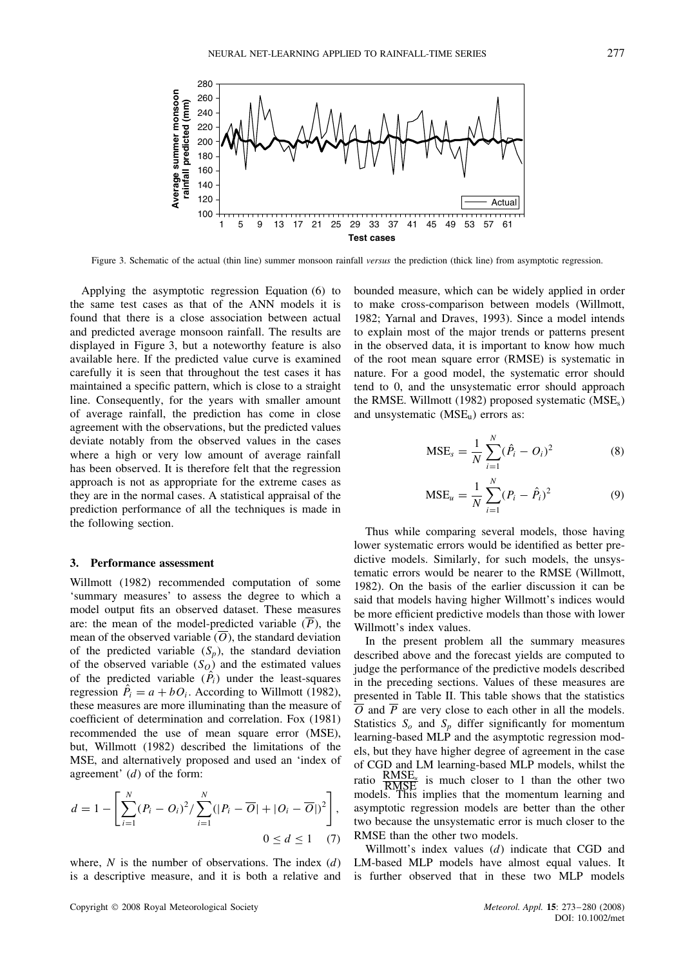

Figure 3. Schematic of the actual (thin line) summer monsoon rainfall *versus* the prediction (thick line) from asymptotic regression.

Applying the asymptotic regression Equation (6) to the same test cases as that of the ANN models it is found that there is a close association between actual and predicted average monsoon rainfall. The results are displayed in Figure 3, but a noteworthy feature is also available here. If the predicted value curve is examined carefully it is seen that throughout the test cases it has maintained a specific pattern, which is close to a straight line. Consequently, for the years with smaller amount of average rainfall, the prediction has come in close agreement with the observations, but the predicted values deviate notably from the observed values in the cases where a high or very low amount of average rainfall has been observed. It is therefore felt that the regression approach is not as appropriate for the extreme cases as they are in the normal cases. A statistical appraisal of the prediction performance of all the techniques is made in the following section.

#### **3. Performance assessment**

Willmott (1982) recommended computation of some 'summary measures' to assess the degree to which a model output fits an observed dataset. These measures are: the mean of the model-predicted variable  $(\overline{P})$ , the mean of the observed variable  $(\overline{O})$ , the standard deviation of the predicted variable  $(S_p)$ , the standard deviation of the observed variable  $(S<sub>O</sub>)$  and the estimated values of the predicted variable  $(\hat{P}_i)$  under the least-squares regression  $\hat{P}_i = a + bO_i$ . According to Willmott (1982), these measures are more illuminating than the measure of coefficient of determination and correlation. Fox (1981) recommended the use of mean square error (MSE), but, Willmott (1982) described the limitations of the MSE, and alternatively proposed and used an 'index of agreement'  $(d)$  of the form:

$$
d = 1 - \left[ \sum_{i=1}^{N} (P_i - O_i)^2 / \sum_{i=1}^{N} (|P_i - \overline{O}| + |O_i - \overline{O}|)^2 \right],
$$
  

$$
0 \le d \le 1 \quad (7)
$$

where, N is the number of observations. The index  $(d)$ is a descriptive measure, and it is both a relative and

bounded measure, which can be widely applied in order to make cross-comparison between models (Willmott, 1982; Yarnal and Draves, 1993). Since a model intends to explain most of the major trends or patterns present in the observed data, it is important to know how much of the root mean square error (RMSE) is systematic in nature. For a good model, the systematic error should tend to 0, and the unsystematic error should approach the RMSE. Willmott (1982) proposed systematic  $(MSE<sub>s</sub>)$ and unsystematic  $(MSE<sub>u</sub>)$  errors as:

$$
MSE_s = \frac{1}{N} \sum_{i=1}^{N} (\hat{P}_i - O_i)^2
$$
 (8)

$$
MSE_u = \frac{1}{N} \sum_{i=1}^{N} (P_i - \hat{P}_i)^2
$$
 (9)

Thus while comparing several models, those having lower systematic errors would be identified as better predictive models. Similarly, for such models, the unsystematic errors would be nearer to the RMSE (Willmott, 1982). On the basis of the earlier discussion it can be said that models having higher Willmott's indices would be more efficient predictive models than those with lower Willmott's index values.

In the present problem all the summary measures described above and the forecast yields are computed to judge the performance of the predictive models described in the preceding sections. Values of these measures are presented in Table II. This table shows that the statistics  $\overline{O}$  and  $\overline{P}$  are very close to each other in all the models. Statistics  $S_0$  and  $S_p$  differ significantly for momentum learning-based MLP and the asymptotic regression models, but they have higher degree of agreement in the case of CGD and LM learning-based MLP models, whilst the ratio  $\frac{RMSE_u}{RMSE_u}$  is much closer to 1 than the other two models. This implies that the momentum learning and asymptotic regression models are better than the other two because the unsystematic error is much closer to the RMSE than the other two models.

Willmott's index values (d) indicate that CGD and LM-based MLP models have almost equal values. It is further observed that in these two MLP models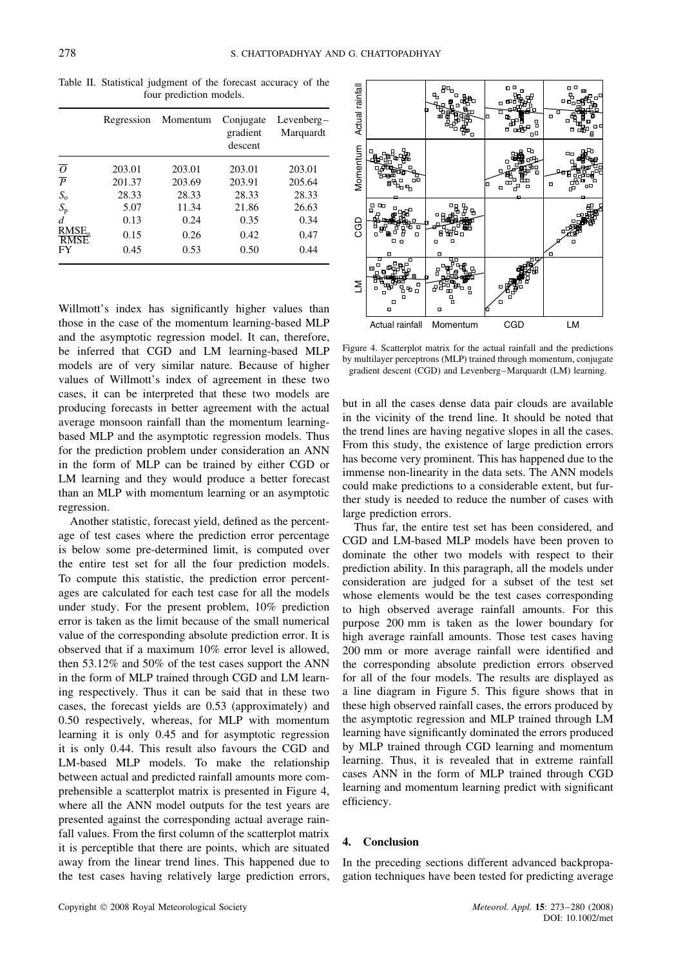|  | Table II. Statistical judgment of the forecast accuracy of the |  |  |  |
|--|----------------------------------------------------------------|--|--|--|
|  | four prediction models.                                        |  |  |  |

|                         | Regression | Momentum | Conjugate<br>gradient<br>descent | $Levenberg-$<br>Marquardt |
|-------------------------|------------|----------|----------------------------------|---------------------------|
| $\overline{o}$          | 203.01     | 203.01   | 203.01                           | 203.01                    |
| $\overline{P}$          | 201.37     | 203.69   | 203.91                           | 205.64                    |
| $S_{\rm o}$             | 28.33      | 28.33    | 28.33                            | 28.33                     |
| $S_{\rm p}$             | 5.07       | 11.34    | 21.86                            | 26.63                     |
| $\overline{d}$          | 0.13       | 0.24     | 0.35                             | 0.34                      |
| $RMSE_u$<br><b>RMSE</b> | 0.15       | 0.26     | 0.42                             | 0.47                      |
| FY                      | 0.45       | 0.53     | 0.50                             | 0.44                      |

Willmott's index has significantly higher values than those in the case of the momentum learning-based MLP and the asymptotic regression model. It can, therefore, be inferred that CGD and LM learning-based MLP models are of very similar nature. Because of higher values of Willmott's index of agreement in these two cases, it can be interpreted that these two models are producing forecasts in better agreement with the actual average monsoon rainfall than the momentum learningbased MLP and the asymptotic regression models. Thus for the prediction problem under consideration an ANN in the form of MLP can be trained by either CGD or LM learning and they would produce a better forecast than an MLP with momentum learning or an asymptotic regression.

Another statistic, forecast yield, defined as the percentage of test cases where the prediction error percentage is below some pre-determined limit, is computed over the entire test set for all the four prediction models. To compute this statistic, the prediction error percentages are calculated for each test case for all the models under study. For the present problem, 10% prediction error is taken as the limit because of the small numerical value of the corresponding absolute prediction error. It is observed that if a maximum 10% error level is allowed, then 53.12% and 50% of the test cases support the ANN in the form of MLP trained through CGD and LM learning respectively. Thus it can be said that in these two cases, the forecast yields are 0.53 (approximately) and 0.50 respectively, whereas, for MLP with momentum learning it is only 0.45 and for asymptotic regression it is only 0.44. This result also favours the CGD and LM-based MLP models. To make the relationship between actual and predicted rainfall amounts more comprehensible a scatterplot matrix is presented in Figure 4, where all the ANN model outputs for the test years are presented against the corresponding actual average rainfall values. From the first column of the scatterplot matrix it is perceptible that there are points, which are situated away from the linear trend lines. This happened due to the test cases having relatively large prediction errors,



Figure 4. Scatterplot matrix for the actual rainfall and the predictions by multilayer perceptrons (MLP) trained through momentum, conjugate gradient descent (CGD) and Levenberg–Marquardt (LM) learning.

but in all the cases dense data pair clouds are available in the vicinity of the trend line. It should be noted that the trend lines are having negative slopes in all the cases. From this study, the existence of large prediction errors has become very prominent. This has happened due to the immense non-linearity in the data sets. The ANN models could make predictions to a considerable extent, but further study is needed to reduce the number of cases with large prediction errors.

Thus far, the entire test set has been considered, and CGD and LM-based MLP models have been proven to dominate the other two models with respect to their prediction ability. In this paragraph, all the models under consideration are judged for a subset of the test set whose elements would be the test cases corresponding to high observed average rainfall amounts. For this purpose 200 mm is taken as the lower boundary for high average rainfall amounts. Those test cases having 200 mm or more average rainfall were identified and the corresponding absolute prediction errors observed for all of the four models. The results are displayed as a line diagram in Figure 5. This figure shows that in these high observed rainfall cases, the errors produced by the asymptotic regression and MLP trained through LM learning have significantly dominated the errors produced by MLP trained through CGD learning and momentum learning. Thus, it is revealed that in extreme rainfall cases ANN in the form of MLP trained through CGD learning and momentum learning predict with significant efficiency.

## **4. Conclusion**

In the preceding sections different advanced backpropagation techniques have been tested for predicting average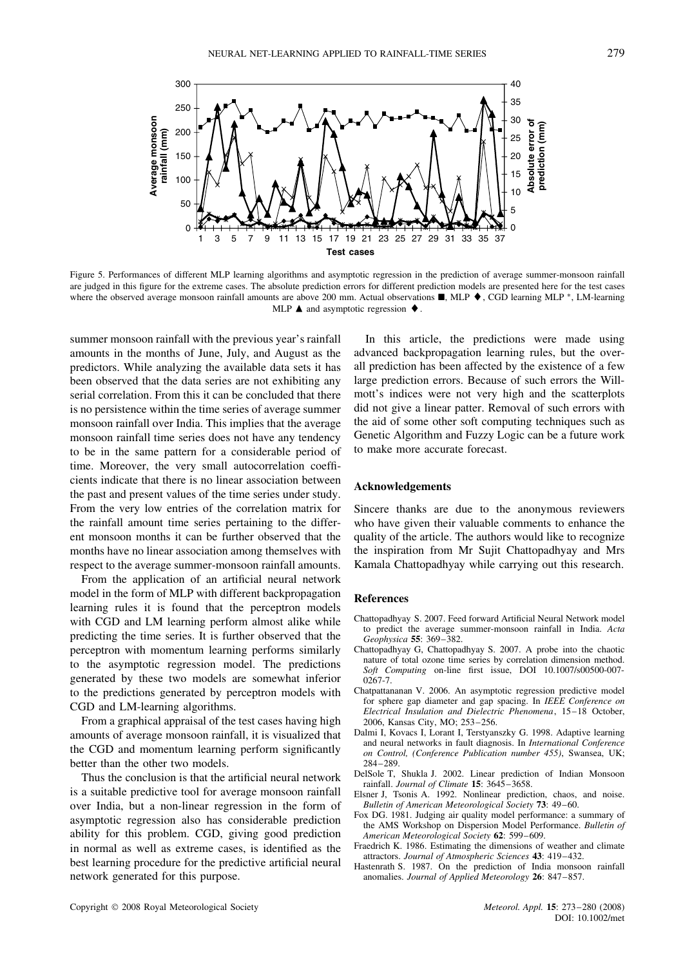

Figure 5. Performances of different MLP learning algorithms and asymptotic regression in the prediction of average summer-monsoon rainfall are judged in this figure for the extreme cases. The absolute prediction errors for different prediction models are presented here for the test cases where the observed average monsoon rainfall amounts are above 200 mm. Actual observations ■, MLP ◆, CGD learning MLP <sup>∗</sup>, LM-learning with <sup>∗</sup>, LM-learning + MLP ∗, LM-learning + MLP ∗, LM-learning + MLP ∗, LM-learning + MLP  $\blacktriangle$  and asymptotic regression  $\blacklozenge$ .

summer monsoon rainfall with the previous year's rainfall amounts in the months of June, July, and August as the predictors. While analyzing the available data sets it has been observed that the data series are not exhibiting any serial correlation. From this it can be concluded that there is no persistence within the time series of average summer monsoon rainfall over India. This implies that the average monsoon rainfall time series does not have any tendency to be in the same pattern for a considerable period of time. Moreover, the very small autocorrelation coefficients indicate that there is no linear association between the past and present values of the time series under study. From the very low entries of the correlation matrix for the rainfall amount time series pertaining to the different monsoon months it can be further observed that the months have no linear association among themselves with respect to the average summer-monsoon rainfall amounts.

From the application of an artificial neural network model in the form of MLP with different backpropagation learning rules it is found that the perceptron models with CGD and LM learning perform almost alike while predicting the time series. It is further observed that the perceptron with momentum learning performs similarly to the asymptotic regression model. The predictions generated by these two models are somewhat inferior to the predictions generated by perceptron models with CGD and LM-learning algorithms.

From a graphical appraisal of the test cases having high amounts of average monsoon rainfall, it is visualized that the CGD and momentum learning perform significantly better than the other two models.

Thus the conclusion is that the artificial neural network is a suitable predictive tool for average monsoon rainfall over India, but a non-linear regression in the form of asymptotic regression also has considerable prediction ability for this problem. CGD, giving good prediction in normal as well as extreme cases, is identified as the best learning procedure for the predictive artificial neural network generated for this purpose.

In this article, the predictions were made using advanced backpropagation learning rules, but the overall prediction has been affected by the existence of a few large prediction errors. Because of such errors the Willmott's indices were not very high and the scatterplots did not give a linear patter. Removal of such errors with the aid of some other soft computing techniques such as Genetic Algorithm and Fuzzy Logic can be a future work to make more accurate forecast.

## **Acknowledgements**

Sincere thanks are due to the anonymous reviewers who have given their valuable comments to enhance the quality of the article. The authors would like to recognize the inspiration from Mr Sujit Chattopadhyay and Mrs Kamala Chattopadhyay while carrying out this research.

## **References**

- Chattopadhyay S. 2007. Feed forward Artificial Neural Network model to predict the average summer-monsoon rainfall in India. *Acta Geophysica* **55**: 369–382.
- Chattopadhyay G, Chattopadhyay S. 2007. A probe into the chaotic nature of total ozone time series by correlation dimension method. *Soft Computing* on-line first issue, DOI 10.1007/s00500-007- 0267-7.
- Chatpattananan V. 2006. An asymptotic regression predictive model for sphere gap diameter and gap spacing. In *IEEE Conference on Electrical Insulation and Dielectric Phenomena*, 15–18 October, 2006, Kansas City, MO; 253–256.
- Dalmi I, Kovacs I, Lorant I, Terstyanszky G. 1998. Adaptive learning and neural networks in fault diagnosis. In *International Conference on Control, (Conference Publication number 455)*, Swansea, UK; 284–289.
- DelSole T, Shukla J. 2002. Linear prediction of Indian Monsoon rainfall. *Journal of Climate* **15**: 3645–3658.
- Elsner J, Tsonis A. 1992. Nonlinear prediction, chaos, and noise. *Bulletin of American Meteorological Society* **73**: 49–60.
- Fox DG. 1981. Judging air quality model performance: a summary of the AMS Workshop on Dispersion Model Performance. *Bulletin of American Meteorological Society* **62**: 599–609.
- Fraedrich K. 1986. Estimating the dimensions of weather and climate attractors. *Journal of Atmospheric Sciences* **43**: 419–432.
- Hastenrath S. 1987. On the prediction of India monsoon rainfall anomalies. *Journal of Applied Meteorology* **26**: 847–857.